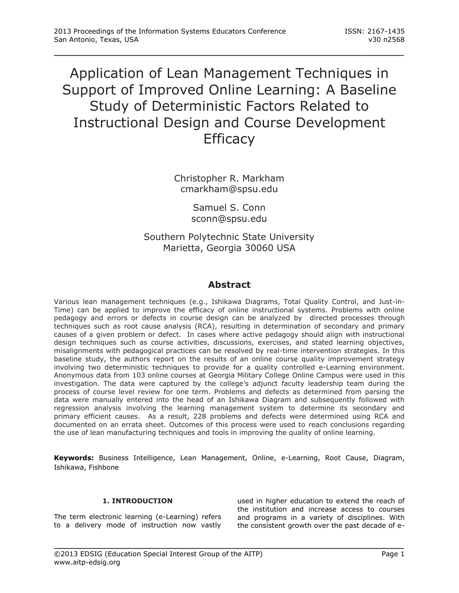# Application of Lean Management Techniques in Support of Improved Online Learning: A Baseline Study of Deterministic Factors Related to Instructional Design and Course Development **Efficacy**

\_\_\_\_\_\_\_\_\_\_\_\_\_\_\_\_\_\_\_\_\_\_\_\_\_\_\_\_\_\_\_\_\_\_\_\_\_\_\_\_\_\_\_\_\_\_\_\_\_

Christopher R. Markham cmarkham@spsu.edu

> Samuel S. Conn sconn@spsu.edu

Southern Polytechnic State University Marietta, Georgia 30060 USA

# **Abstract**

Various lean management techniques (e.g., Ishikawa Diagrams, Total Quality Control, and Just-in-Time) can be applied to improve the efficacy of online instructional systems. Problems with online pedagogy and errors or defects in course design can be analyzed by directed processes through techniques such as root cause analysis (RCA), resulting in determination of secondary and primary causes of a given problem or defect. In cases where active pedagogy should align with instructional design techniques such as course activities, discussions, exercises, and stated learning objectives, misalignments with pedagogical practices can be resolved by real-time intervention strategies. In this baseline study, the authors report on the results of an online course quality improvement strategy involving two deterministic techniques to provide for a quality controlled e-Learning environment. Anonymous data from 103 online courses at Georgia Military College Online Campus were used in this investigation. The data were captured by the college's adjunct faculty leadership team during the process of course level review for one term. Problems and defects as determined from parsing the data were manually entered into the head of an Ishikawa Diagram and subsequently followed with regression analysis involving the learning management system to determine its secondary and primary efficient causes. As a result, 228 problems and defects were determined using RCA and documented on an errata sheet. Outcomes of this process were used to reach conclusions regarding the use of lean manufacturing techniques and tools in improving the quality of online learning.

**Keywords:** Business Intelligence, Lean Management, Online, e-Learning, Root Cause, Diagram, Ishikawa, Fishbone

#### **1. INTRODUCTION**

The term electronic learning (e-Learning) refers to a delivery mode of instruction now vastly used in higher education to extend the reach of the institution and increase access to courses and programs in a variety of disciplines. With the consistent growth over the past decade of e-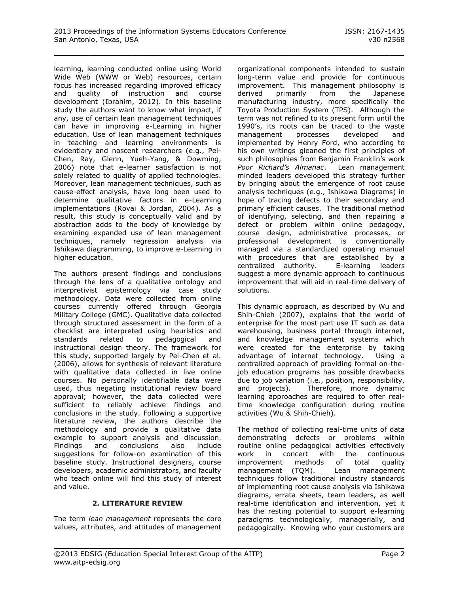learning, learning conducted online using World Wide Web (WWW or Web) resources, certain focus has increased regarding improved efficacy and quality of instruction and course development (Ibrahim, 2012). In this baseline study the authors want to know what impact, if any, use of certain lean management techniques can have in improving e-Learning in higher education. Use of lean management techniques in teaching and learning environments is evidentiary and nascent researchers (e.g., Pei-Chen, Ray, Glenn, Yueh-Yang, & Dowming, 2006) note that e-learner satisfaction is not solely related to quality of applied technologies. Moreover, lean management techniques, such as cause-effect analysis, have long been used to determine qualitative factors in e-Learning implementations (Rovai & Jordan, 2004). As a result, this study is conceptually valid and by abstraction adds to the body of knowledge by examining expanded use of lean management techniques, namely regression analysis via Ishikawa diagramming, to improve e-Learning in higher education.

The authors present findings and conclusions through the lens of a qualitative ontology and interpretivist epistemology via case study methodology. Data were collected from online courses currently offered through Georgia Military College (GMC). Qualitative data collected through structured assessment in the form of a checklist are interpreted using heuristics and standards related to pedagogical and instructional design theory. The framework for this study, supported largely by Pei-Chen et al. (2006), allows for synthesis of relevant literature with qualitative data collected in live online courses. No personally identifiable data were used, thus negating institutional review board approval; however, the data collected were sufficient to reliably achieve findings and conclusions in the study. Following a supportive literature review, the authors describe the methodology and provide a qualitative data example to support analysis and discussion. Findings and conclusions also include suggestions for follow-on examination of this baseline study. Instructional designers, course developers, academic administrators, and faculty who teach online will find this study of interest and value.

# **2. LITERATURE REVIEW**

The term *lean management* represents the core values, attributes, and attitudes of management organizational components intended to sustain long-term value and provide for continuous improvement. This management philosophy is derived primarily from the Japanese manufacturing industry, more specifically the Toyota Production System (TPS). Although the term was not refined to its present form until the 1990's, its roots can be traced to the waste management processes developed and implemented by Henry Ford, who according to his own writings gleaned the first principles of such philosophies from Benjamin Franklin's work *Poor Richard's Almanac*. Lean management minded leaders developed this strategy further by bringing about the emergence of root cause analysis techniques (e.g., Ishikawa Diagrams) in hope of tracing defects to their secondary and primary efficient causes. The traditional method of identifying, selecting, and then repairing a defect or problem within online pedagogy, course design, administrative processes, or professional development is conventionally managed via a standardized operating manual with procedures that are established by a centralized authority. E-learning leaders suggest a more dynamic approach to continuous improvement that will aid in real-time delivery of solutions.

This dynamic approach, as described by Wu and Shih-Chieh (2007), explains that the world of enterprise for the most part use IT such as data warehousing, business portal through internet, and knowledge management systems which were created for the enterprise by taking advantage of internet technology. Using a centralized approach of providing formal on-thejob education programs has possible drawbacks due to job variation (i.e., position, responsibility, and projects). Therefore, more dynamic learning approaches are required to offer realtime knowledge configuration during routine activities (Wu & Shih-Chieh).

The method of collecting real-time units of data demonstrating defects or problems within routine online pedagogical activities effectively work in concert with the continuous improvement methods of total quality management (TQM). Lean management techniques follow traditional industry standards of implementing root cause analysis via Ishikawa diagrams, errata sheets, team leaders, as well real-time identification and intervention, yet it has the resting potential to support e-learning paradigms technologically, managerially, and pedagogically. Knowing who your customers are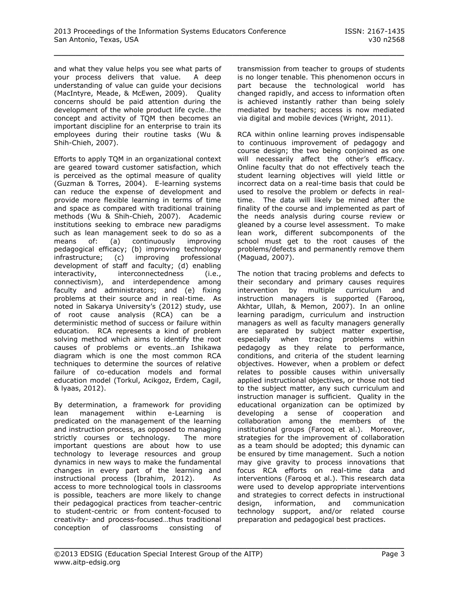and what they value helps you see what parts of your process delivers that value. A deep understanding of value can guide your decisions (MacIntyre, Meade, & McEwen, 2009). Quality concerns should be paid attention during the development of the whole product life cycle…the concept and activity of TQM then becomes an important discipline for an enterprise to train its employees during their routine tasks (Wu & Shih-Chieh, 2007).

Efforts to apply TQM in an organizational context are geared toward customer satisfaction, which is perceived as the optimal measure of quality (Guzman & Torres, 2004). E-learning systems can reduce the expense of development and provide more flexible learning in terms of time and space as compared with traditional training methods (Wu & Shih-Chieh, 2007). Academic institutions seeking to embrace new paradigms such as lean management seek to do so as a means of: (a) continuously improving pedagogical efficacy; (b) improving technology infrastructure; (c) improving professional development of staff and faculty; (d) enabling interactivity, interconnectedness (i.e., connectivism), and interdependence among faculty and administrators; and (e) fixing problems at their source and in real-time. As noted in Sakarya University's (2012) study, use of root cause analysis (RCA) can be a deterministic method of success or failure within education. RCA represents a kind of problem solving method which aims to identify the root causes of problems or events…an Ishikawa diagram which is one the most common RCA techniques to determine the sources of relative failure of co-education models and formal education model (Torkul, Acikgoz, Erdem, Cagil, & lyaas, 2012).

By determination, a framework for providing lean management within e-Learning is predicated on the management of the learning and instruction process, as opposed to managing strictly courses or technology. The more important questions are about how to use technology to leverage resources and group dynamics in new ways to make the fundamental changes in every part of the learning and instructional process (Ibrahim, 2012). As access to more technological tools in classrooms is possible, teachers are more likely to change their pedagogical practices from teacher-centric to student-centric or from content-focused to creativity- and process-focused…thus traditional conception of classrooms consisting of

transmission from teacher to groups of students is no longer tenable. This phenomenon occurs in part because the technological world has changed rapidly, and access to information often is achieved instantly rather than being solely mediated by teachers; access is now mediated via digital and mobile devices (Wright, 2011).

RCA within online learning proves indispensable to continuous improvement of pedagogy and course design; the two being conjoined as one will necessarily affect the other's efficacy. Online faculty that do not effectively teach the student learning objectives will yield little or incorrect data on a real-time basis that could be used to resolve the problem or defects in realtime. The data will likely be mined after the finality of the course and implemented as part of the needs analysis during course review or gleaned by a course level assessment. To make lean work, different subcomponents of the school must get to the root causes of the problems/defects and permanently remove them (Maguad, 2007).

The notion that tracing problems and defects to their secondary and primary causes requires intervention by multiple curriculum and instruction managers is supported (Farooq, Akhtar, Ullah, & Memon, 2007). In an online learning paradigm, curriculum and instruction managers as well as faculty managers generally are separated by subject matter expertise, especially when tracing problems within pedagogy as they relate to performance, conditions, and criteria of the student learning objectives. However, when a problem or defect relates to possible causes within universally applied instructional objectives, or those not tied to the subject matter, any such curriculum and instruction manager is sufficient. Quality in the educational organization can be optimized by developing a sense of cooperation and collaboration among the members of the institutional groups (Farooq et al.). Moreover, strategies for the improvement of collaboration as a team should be adopted; this dynamic can be ensured by time management. Such a notion may give gravity to process innovations that focus RCA efforts on real-time data and interventions (Farooq et al.). This research data were used to develop appropriate interventions and strategies to correct defects in instructional design, information, and communication technology support, and/or related course preparation and pedagogical best practices.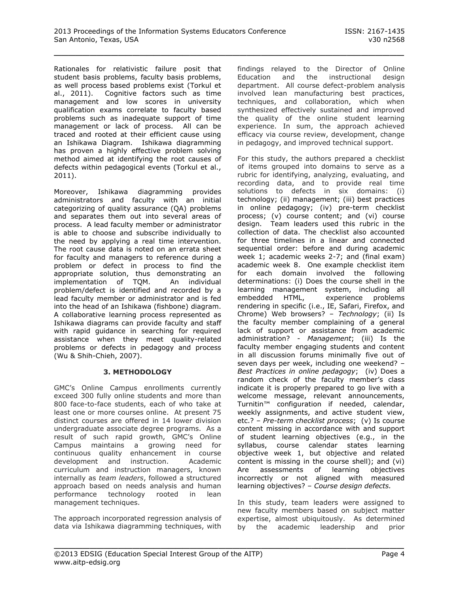Rationales for relativistic failure posit that student basis problems, faculty basis problems, as well process based problems exist (Torkul et al., 2011). Cognitive factors such as time management and low scores in university qualification exams correlate to faculty based problems such as inadequate support of time management or lack of process. All can be traced and rooted at their efficient cause using an Ishikawa Diagram. Ishikawa diagramming has proven a highly effective problem solving method aimed at identifying the root causes of defects within pedagogical events (Torkul et al., 2011).

Moreover, Ishikawa diagramming provides administrators and faculty with an initial categorizing of quality assurance (QA) problems and separates them out into several areas of process. A lead faculty member or administrator is able to choose and subscribe individually to the need by applying a real time intervention. The root cause data is noted on an errata sheet for faculty and managers to reference during a problem or defect in process to find the appropriate solution, thus demonstrating an implementation of TQM. An individual problem/defect is identified and recorded by a lead faculty member or administrator and is fed into the head of an Ishikawa (fishbone) diagram. A collaborative learning process represented as Ishikawa diagrams can provide faculty and staff with rapid guidance in searching for required assistance when they meet quality-related problems or defects in pedagogy and process (Wu & Shih-Chieh, 2007).

#### **3. METHODOLOGY**

GMC's Online Campus enrollments currently exceed 300 fully online students and more than 800 face-to-face students, each of who take at least one or more courses online. At present 75 distinct courses are offered in 14 lower division undergraduate associate degree programs. As a result of such rapid growth, GMC's Online Campus maintains a growing need for continuous quality enhancement in course development and instruction. Academic curriculum and instruction managers, known internally as *team leaders*, followed a structured approach based on needs analysis and human performance technology rooted in lean management techniques.

The approach incorporated regression analysis of data via Ishikawa diagramming techniques, with findings relayed to the Director of Online Education and the instructional design department. All course defect-problem analysis involved lean manufacturing best practices, techniques, and collaboration, which when synthesized effectively sustained and improved the quality of the online student learning experience. In sum, the approach achieved efficacy via course review, development, change in pedagogy, and improved technical support.

For this study, the authors prepared a checklist of items grouped into domains to serve as a rubric for identifying, analyzing, evaluating, and recording data, and to provide real time solutions to defects in six domains: (i) technology; (ii) management; (iii) best practices in online pedagogy; (iv) pre-term checklist process; (v) course content; and (vi) course design. Team leaders used this rubric in the collection of data. The checklist also accounted for three timelines in a linear and connected sequential order: before and during academic week 1; academic weeks 2-7; and (final exam) academic week 8. One example checklist item for each domain involved the following determinations: (i) Does the course shell in the learning management system, including all embedded HTML, experience problems rendering in specific (i.e., IE, Safari, Firefox, and Chrome) Web browsers? – *Technology*; (ii) Is the faculty member complaining of a general lack of support or assistance from academic administration? - *Management*; (iii) Is the faculty member engaging students and content in all discussion forums minimally five out of seven days per week, including one weekend? – *Best Practices in online pedagogy*; (iv) Does a random check of the faculty member's class indicate it is properly prepared to go live with a welcome message, relevant announcements, Turnitin™ configuration if needed, calendar, weekly assignments, and active student view, etc.? – *Pre-term checklist process*; (v) Is course content missing in accordance with and support of student learning objectives (e.g., in the syllabus, course calendar states learning objective week 1, but objective and related content is missing in the course shell); and (vi) Are assessments of learning objectives incorrectly or not aligned with measured learning objectives? – *Course design defects.*

In this study, team leaders were assigned to new faculty members based on subject matter expertise, almost ubiquitously. As determined by the academic leadership and prior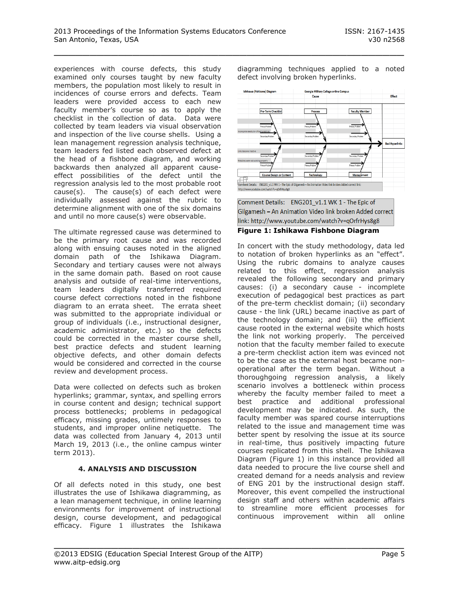experiences with course defects, this study examined only courses taught by new faculty members, the population most likely to result in incidences of course errors and defects. Team leaders were provided access to each new faculty member's course so as to apply the checklist in the collection of data. Data were collected by team leaders via visual observation and inspection of the live course shells. Using a lean management regression analysis technique, team leaders fed listed each observed defect at the head of a fishbone diagram, and working backwards then analyzed all apparent causeeffect possibilities of the defect until the regression analysis led to the most probable root cause(s). The cause(s) of each defect were individually assessed against the rubric to determine alignment with one of the six domains and until no more cause(s) were observable.

The ultimate regressed cause was determined to be the primary root cause and was recorded along with ensuing causes noted in the aligned domain path of the Ishikawa Diagram. Secondary and tertiary causes were not always in the same domain path. Based on root cause analysis and outside of real-time interventions, team leaders digitally transferred required course defect corrections noted in the fishbone diagram to an errata sheet. The errata sheet was submitted to the appropriate individual or group of individuals (i.e., instructional designer, academic administrator, etc.) so the defects could be corrected in the master course shell, best practice defects and student learning objective defects, and other domain defects would be considered and corrected in the course review and development process.

Data were collected on defects such as broken hyperlinks; grammar, syntax, and spelling errors in course content and design; technical support process bottlenecks; problems in pedagogical efficacy, missing grades, untimely responses to students, and improper online netiquette. The data was collected from January 4, 2013 until March 19, 2013 (i.e., the online campus winter term 2013).

# **4. ANALYSIS AND DISCUSSION**

Of all defects noted in this study, one best illustrates the use of Ishikawa diagramming, as a lean management technique, in online learning environments for improvement of instructional design, course development, and pedagogical efficacy. Figure 1 illustrates the Ishikawa

diagramming techniques applied to a noted defect involving broken hyperlinks.



Comment Details: ENG201 v1.1 WK 1 - The Epic of Gilgamesh - An Animation Video link broken Added correct link: http://www.youtube.com/watch?v=qOrfrHys8g8

#### **Figure 1: Ishikawa Fishbone Diagram**

In concert with the study methodology, data led to notation of broken hyperlinks as an "effect". Using the rubric domains to analyze causes related to this effect, regression analysis revealed the following secondary and primary causes: (i) a secondary cause - incomplete execution of pedagogical best practices as part of the pre-term checklist domain; (ii) secondary cause - the link (URL) became inactive as part of the technology domain; and (iii) the efficient cause rooted in the external website which hosts the link not working properly. The perceived notion that the faculty member failed to execute a pre-term checklist action item was evinced not to be the case as the external host became nonoperational after the term began. Without a thoroughgoing regression analysis, a likely scenario involves a bottleneck within process whereby the faculty member failed to meet a best practice and additional professional development may be indicated. As such, the faculty member was spared course interruptions related to the issue and management time was better spent by resolving the issue at its source in real-time, thus positively impacting future courses replicated from this shell. The Ishikawa Diagram (Figure 1) in this instance provided all data needed to procure the live course shell and created demand for a needs analysis and review of ENG 201 by the instructional design staff. Moreover, this event compelled the instructional design staff and others within academic affairs to streamline more efficient processes for continuous improvement within all online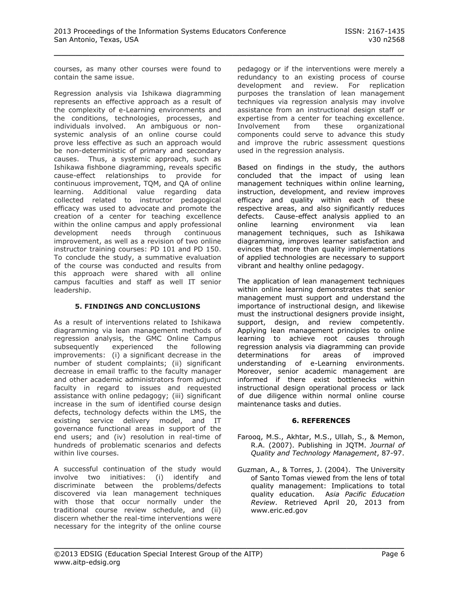courses, as many other courses were found to contain the same issue.

Regression analysis via Ishikawa diagramming represents an effective approach as a result of the complexity of e-Learning environments and the conditions, technologies, processes, and individuals involved. An ambiguous or nonsystemic analysis of an online course could prove less effective as such an approach would be non-deterministic of primary and secondary causes. Thus, a systemic approach, such as Ishikawa fishbone diagramming, reveals specific cause-effect relationships to provide for continuous improvement, TQM, and QA of online learning. Additional value regarding data collected related to instructor pedagogical efficacy was used to advocate and promote the creation of a center for teaching excellence within the online campus and apply professional development needs through continuous improvement, as well as a revision of two online instructor training courses: PD 101 and PD 150. To conclude the study, a summative evaluation of the course was conducted and results from this approach were shared with all online campus faculties and staff as well IT senior leadership.

# **5. FINDINGS AND CONCLUSIONS**

As a result of interventions related to Ishikawa diagramming via lean management methods of regression analysis, the GMC Online Campus subsequently experienced the following improvements: (i) a significant decrease in the number of student complaints; (ii) significant decrease in email traffic to the faculty manager and other academic administrators from adjunct faculty in regard to issues and requested assistance with online pedagogy; (iii) significant increase in the sum of identified course design defects, technology defects within the LMS, the existing service delivery model, and IT governance functional areas in support of the end users; and (iv) resolution in real-time of hundreds of problematic scenarios and defects within live courses.

A successful continuation of the study would involve two initiatives: (i) identify and discriminate between the problems/defects discovered via lean management techniques with those that occur normally under the traditional course review schedule, and (ii) discern whether the real-time interventions were necessary for the integrity of the online course

pedagogy or if the interventions were merely a redundancy to an existing process of course development and review. For replication purposes the translation of lean management techniques via regression analysis may involve assistance from an instructional design staff or expertise from a center for teaching excellence. Involvement from these organizational components could serve to advance this study and improve the rubric assessment questions used in the regression analysis.

Based on findings in the study, the authors concluded that the impact of using lean management techniques within online learning, instruction, development, and review improves efficacy and quality within each of these respective areas, and also significantly reduces defects. Cause-effect analysis applied to an online learning environment via lean management techniques, such as Ishikawa diagramming, improves learner satisfaction and evinces that more than quality implementations of applied technologies are necessary to support vibrant and healthy online pedagogy.

The application of lean management techniques within online learning demonstrates that senior management must support and understand the importance of instructional design, and likewise must the instructional designers provide insight, support, design, and review competently. Applying lean management principles to online learning to achieve root causes through regression analysis via diagramming can provide determinations for areas of improved understanding of e-Learning environments. Moreover, senior academic management are informed if there exist bottlenecks within instructional design operational process or lack of due diligence within normal online course maintenance tasks and duties.

# **6. REFERENCES**

- Farooq, M.S., Akhtar, M.S., Ullah, S., & Memon, R.A. (2007). Publishing in JQTM. *Journal of Quality and Technology Management*, 87-97.
- Guzman, A., & Torres, J. (2004). The University of Santo Tomas viewed from the lens of total quality management: Implications to total quality education. A*sia Pacific Education Review*. Retrieved April 20, 2013 from www.eric.ed.gov